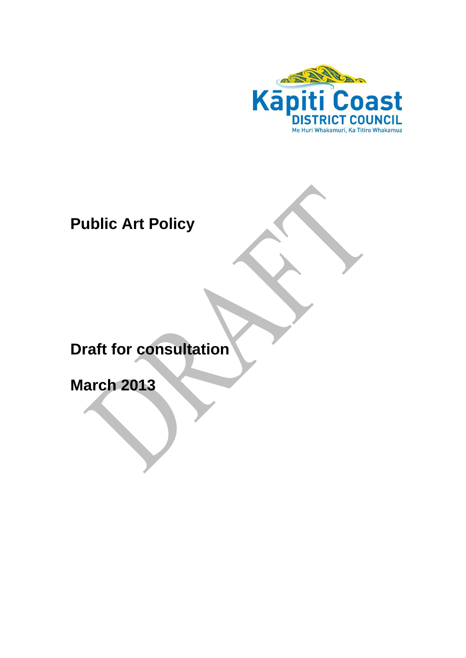

# **Public Art Policy**

**Draft for consultation**

**March 2013**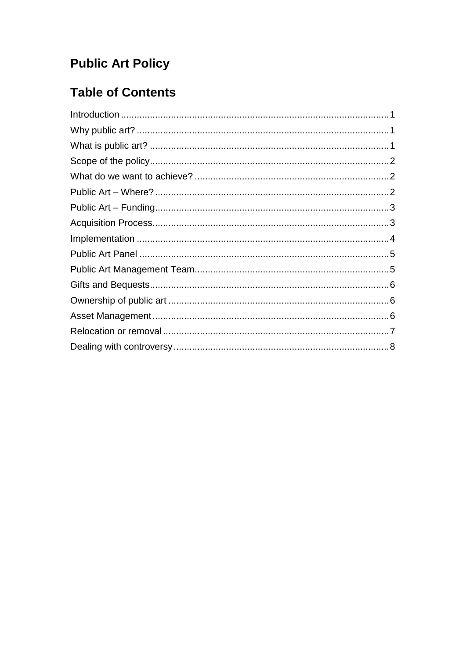# **Public Art Policy**

# **Table of Contents**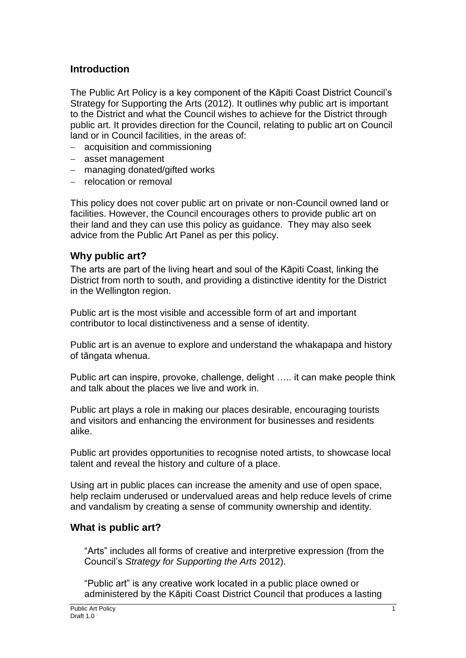# <span id="page-2-0"></span>**Introduction**

The Public Art Policy is a key component of the Kāpiti Coast District Council's Strategy for Supporting the Arts (2012). It outlines why public art is important to the District and what the Council wishes to achieve for the District through public art. It provides direction for the Council, relating to public art on Council land or in Council facilities, in the areas of:

- acquisition and commissioning
- asset management
- managing donated/gifted works
- relocation or removal

This policy does not cover public art on private or non-Council owned land or facilities. However, the Council encourages others to provide public art on their land and they can use this policy as guidance. They may also seek advice from the Public Art Panel as per this policy.

# <span id="page-2-1"></span>**Why public art?**

The arts are part of the living heart and soul of the Kāpiti Coast, linking the District from north to south, and providing a distinctive identity for the District in the Wellington region.

Public art is the most visible and accessible form of art and important contributor to local distinctiveness and a sense of identity.

Public art is an avenue to explore and understand the whakapapa and history of tāngata whenua.

Public art can inspire, provoke, challenge, delight ….. it can make people think and talk about the places we live and work in.

Public art plays a role in making our places desirable, encouraging tourists and visitors and enhancing the environment for businesses and residents alike.

Public art provides opportunities to recognise noted artists, to showcase local talent and reveal the history and culture of a place.

Using art in public places can increase the amenity and use of open space, help reclaim underused or undervalued areas and help reduce levels of crime and vandalism by creating a sense of community ownership and identity.

#### <span id="page-2-2"></span>**What is public art?**

"Arts" includes all forms of creative and interpretive expression (from the Council's *Strategy for Supporting the Arts* 2012).

"Public art" is any creative work located in a public place owned or administered by the Kāpiti Coast District Council that produces a lasting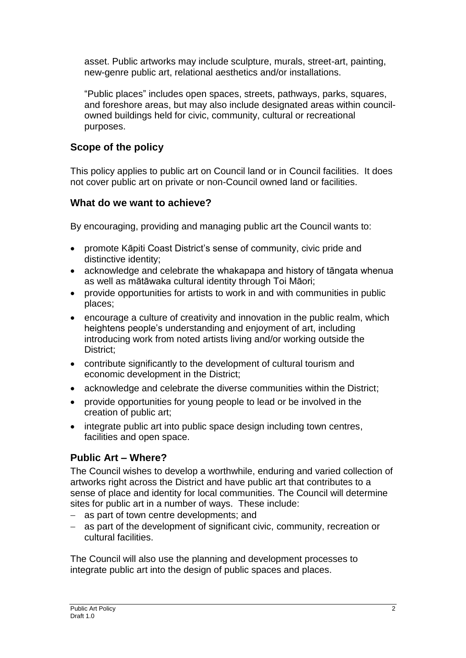asset. Public artworks may include sculpture, murals, street-art, painting, new-genre public art, relational aesthetics and/or installations.

"Public places" includes open spaces, streets, pathways, parks, squares, and foreshore areas, but may also include designated areas within councilowned buildings held for civic, community, cultural or recreational purposes.

# <span id="page-3-0"></span>**Scope of the policy**

This policy applies to public art on Council land or in Council facilities. It does not cover public art on private or non-Council owned land or facilities.

# <span id="page-3-1"></span>**What do we want to achieve?**

By encouraging, providing and managing public art the Council wants to:

- promote Kāpiti Coast District's sense of community, civic pride and distinctive identity;
- acknowledge and celebrate the whakapapa and history of tāngata whenua as well as mātāwaka cultural identity through Toi Māori;
- provide opportunities for artists to work in and with communities in public places;
- encourage a culture of creativity and innovation in the public realm, which heightens people's understanding and enjoyment of art, including introducing work from noted artists living and/or working outside the District;
- contribute significantly to the development of cultural tourism and economic development in the District;
- acknowledge and celebrate the diverse communities within the District;
- provide opportunities for young people to lead or be involved in the creation of public art;
- integrate public art into public space design including town centres, facilities and open space.

# <span id="page-3-2"></span>**Public Art – Where?**

The Council wishes to develop a worthwhile, enduring and varied collection of artworks right across the District and have public art that contributes to a sense of place and identity for local communities. The Council will determine sites for public art in a number of ways. These include:

- as part of town centre developments; and
- as part of the development of significant civic, community, recreation or cultural facilities.

The Council will also use the planning and development processes to integrate public art into the design of public spaces and places.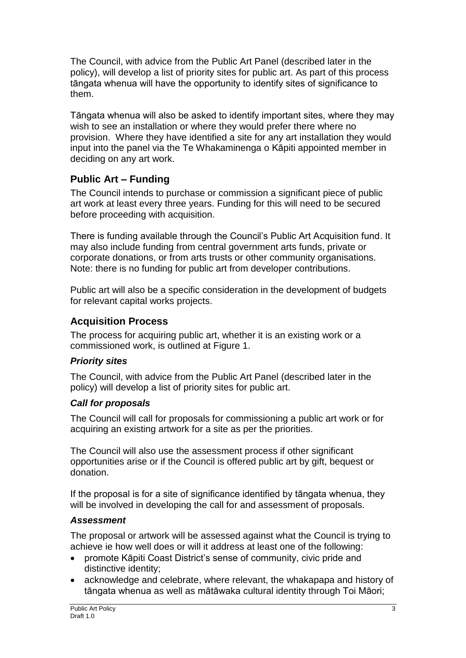The Council, with advice from the Public Art Panel (described later in the policy), will develop a list of priority sites for public art. As part of this process tāngata whenua will have the opportunity to identify sites of significance to them.

Tāngata whenua will also be asked to identify important sites, where they may wish to see an installation or where they would prefer there where no provision. Where they have identified a site for any art installation they would input into the panel via the Te Whakaminenga o Kāpiti appointed member in deciding on any art work.

# <span id="page-4-0"></span>**Public Art – Funding**

The Council intends to purchase or commission a significant piece of public art work at least every three years. Funding for this will need to be secured before proceeding with acquisition.

There is funding available through the Council's Public Art Acquisition fund. It may also include funding from central government arts funds, private or corporate donations, or from arts trusts or other community organisations. Note: there is no funding for public art from developer contributions.

Public art will also be a specific consideration in the development of budgets for relevant capital works projects.

# <span id="page-4-1"></span>**Acquisition Process**

The process for acquiring public art, whether it is an existing work or a commissioned work, is outlined at Figure 1.

#### *Priority sites*

The Council, with advice from the Public Art Panel (described later in the policy) will develop a list of priority sites for public art.

#### *Call for proposals*

The Council will call for proposals for commissioning a public art work or for acquiring an existing artwork for a site as per the priorities.

The Council will also use the assessment process if other significant opportunities arise or if the Council is offered public art by gift, bequest or donation.

If the proposal is for a site of significance identified by tāngata whenua, they will be involved in developing the call for and assessment of proposals.

#### *Assessment*

The proposal or artwork will be assessed against what the Council is trying to achieve ie how well does or will it address at least one of the following:

- promote Kāpiti Coast District's sense of community, civic pride and distinctive identity;
- acknowledge and celebrate, where relevant, the whakapapa and history of tāngata whenua as well as mātāwaka cultural identity through Toi Māori;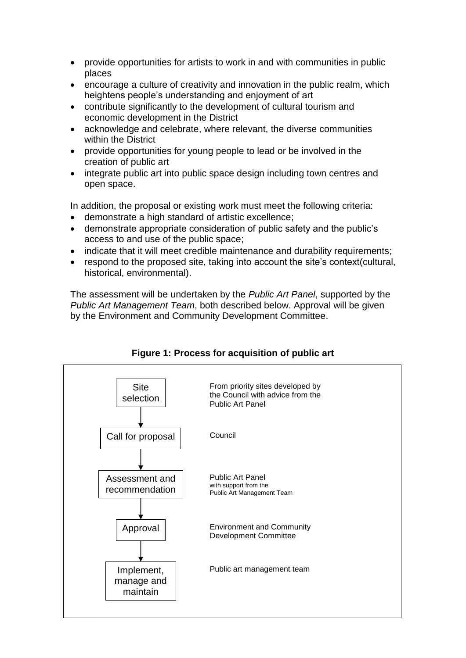- provide opportunities for artists to work in and with communities in public places
- encourage a culture of creativity and innovation in the public realm, which heightens people's understanding and enjoyment of art
- contribute significantly to the development of cultural tourism and economic development in the District
- acknowledge and celebrate, where relevant, the diverse communities within the District
- provide opportunities for young people to lead or be involved in the creation of public art
- integrate public art into public space design including town centres and open space.

In addition, the proposal or existing work must meet the following criteria:

- demonstrate a high standard of artistic excellence;
- demonstrate appropriate consideration of public safety and the public's access to and use of the public space;
- indicate that it will meet credible maintenance and durability requirements;
- respond to the proposed site, taking into account the site's context(cultural, historical, environmental).

The assessment will be undertaken by the *Public Art Panel*, supported by the *Public Art Management Team*, both described below. Approval will be given by the Environment and Community Development Committee.

<span id="page-5-0"></span>

Draft 1.0

#### **Figure 1: Process for acquisition of public art**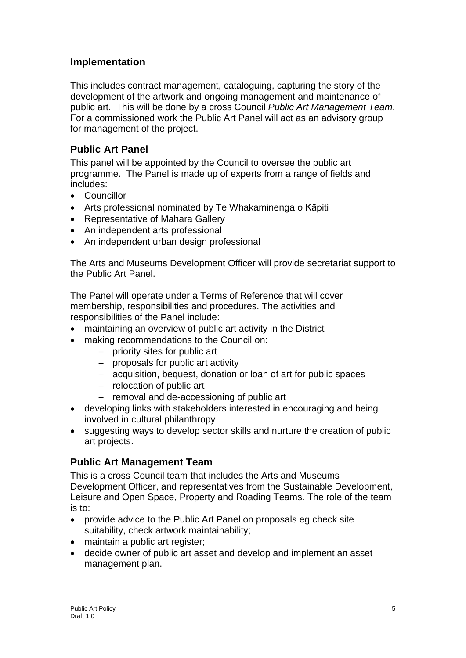# **Implementation**

This includes contract management, cataloguing, capturing the story of the development of the artwork and ongoing management and maintenance of public art. This will be done by a cross Council *Public Art Management Team*. For a commissioned work the Public Art Panel will act as an advisory group for management of the project.

# <span id="page-6-0"></span>**Public Art Panel**

This panel will be appointed by the Council to oversee the public art programme. The Panel is made up of experts from a range of fields and includes:

- Councillor
- Arts professional nominated by Te Whakaminenga o Kāpiti
- Representative of Mahara Gallery
- An independent arts professional
- An independent urban design professional

The Arts and Museums Development Officer will provide secretariat support to the Public Art Panel.

The Panel will operate under a Terms of Reference that will cover membership, responsibilities and procedures. The activities and responsibilities of the Panel include:

- maintaining an overview of public art activity in the District
- making recommendations to the Council on:
	- $-$  priority sites for public art
	- proposals for public art activity
	- acquisition, bequest, donation or loan of art for public spaces
	- $-$  relocation of public art
	- $-$  removal and de-accessioning of public art
- developing links with stakeholders interested in encouraging and being involved in cultural philanthropy
- suggesting ways to develop sector skills and nurture the creation of public art projects.

# <span id="page-6-1"></span>**Public Art Management Team**

This is a cross Council team that includes the Arts and Museums Development Officer, and representatives from the Sustainable Development, Leisure and Open Space, Property and Roading Teams. The role of the team is to:

- provide advice to the Public Art Panel on proposals eg check site suitability, check artwork maintainability;
- maintain a public art register;
- decide owner of public art asset and develop and implement an asset management plan.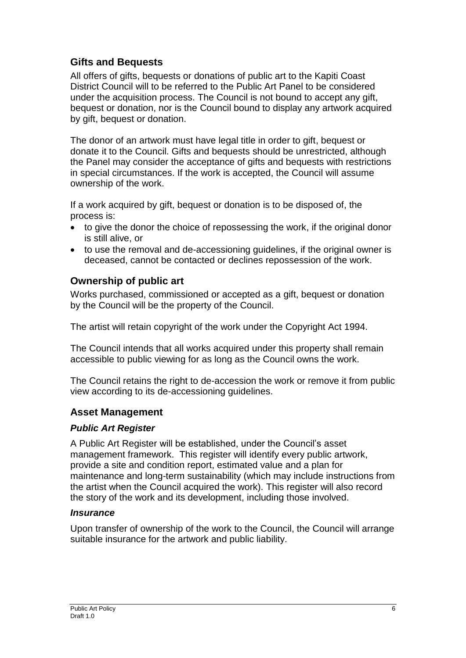# <span id="page-7-0"></span>**Gifts and Bequests**

All offers of gifts, bequests or donations of public art to the Kapiti Coast District Council will to be referred to the Public Art Panel to be considered under the acquisition process. The Council is not bound to accept any gift, bequest or donation, nor is the Council bound to display any artwork acquired by gift, bequest or donation.

The donor of an artwork must have legal title in order to gift, bequest or donate it to the Council. Gifts and bequests should be unrestricted, although the Panel may consider the acceptance of gifts and bequests with restrictions in special circumstances. If the work is accepted, the Council will assume ownership of the work.

If a work acquired by gift, bequest or donation is to be disposed of, the process is:

- to give the donor the choice of repossessing the work, if the original donor is still alive, or
- to use the removal and de-accessioning guidelines, if the original owner is deceased, cannot be contacted or declines repossession of the work.

# <span id="page-7-1"></span>**Ownership of public art**

Works purchased, commissioned or accepted as a gift, bequest or donation by the Council will be the property of the Council.

The artist will retain copyright of the work under the Copyright Act 1994.

The Council intends that all works acquired under this property shall remain accessible to public viewing for as long as the Council owns the work.

The Council retains the right to de-accession the work or remove it from public view according to its de-accessioning guidelines.

#### <span id="page-7-2"></span>**Asset Management**

#### *Public Art Register*

A Public Art Register will be established, under the Council's asset management framework. This register will identify every public artwork, provide a site and condition report, estimated value and a plan for maintenance and long-term sustainability (which may include instructions from the artist when the Council acquired the work). This register will also record the story of the work and its development, including those involved.

#### *Insurance*

Upon transfer of ownership of the work to the Council, the Council will arrange suitable insurance for the artwork and public liability.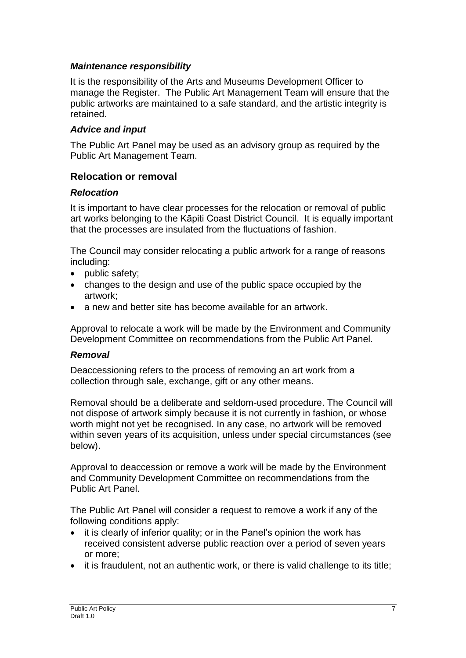#### *Maintenance responsibility*

It is the responsibility of the Arts and Museums Development Officer to manage the Register. The Public Art Management Team will ensure that the public artworks are maintained to a safe standard, and the artistic integrity is retained.

#### *Advice and input*

The Public Art Panel may be used as an advisory group as required by the Public Art Management Team.

#### <span id="page-8-0"></span>**Relocation or removal**

#### *Relocation*

It is important to have clear processes for the relocation or removal of public art works belonging to the Kāpiti Coast District Council. It is equally important that the processes are insulated from the fluctuations of fashion.

The Council may consider relocating a public artwork for a range of reasons including:

- public safety;
- changes to the design and use of the public space occupied by the artwork;
- a new and better site has become available for an artwork.

Approval to relocate a work will be made by the Environment and Community Development Committee on recommendations from the Public Art Panel.

#### *Removal*

Deaccessioning refers to the process of removing an art work from a collection through sale, exchange, gift or any other means.

Removal should be a deliberate and seldom-used procedure. The Council will not dispose of artwork simply because it is not currently in fashion, or whose worth might not yet be recognised. In any case, no artwork will be removed within seven years of its acquisition, unless under special circumstances (see below).

Approval to deaccession or remove a work will be made by the Environment and Community Development Committee on recommendations from the Public Art Panel.

The Public Art Panel will consider a request to remove a work if any of the following conditions apply:

- it is clearly of inferior quality; or in the Panel's opinion the work has received consistent adverse public reaction over a period of seven years or more;
- it is fraudulent, not an authentic work, or there is valid challenge to its title;